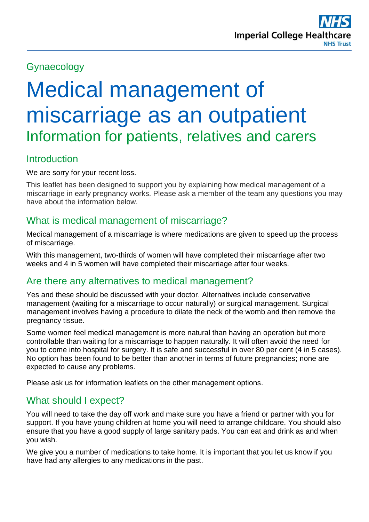# Gynaecology

# Medical management of miscarriage as an outpatient Information for patients, relatives and carers

# Introduction

We are sorry for your recent loss.

This leaflet has been designed to support you by explaining how medical management of a miscarriage in early pregnancy works. Please ask a member of the team any questions you may have about the information below.

# What is medical management of miscarriage?

Medical management of a miscarriage is where medications are given to speed up the process of miscarriage.

With this management, two-thirds of women will have completed their miscarriage after two weeks and 4 in 5 women will have completed their miscarriage after four weeks.

## Are there any alternatives to medical management?

Yes and these should be discussed with your doctor. Alternatives include conservative management (waiting for a miscarriage to occur naturally) or surgical management. Surgical management involves having a procedure to dilate the neck of the womb and then remove the pregnancy tissue.

Some women feel medical management is more natural than having an operation but more controllable than waiting for a miscarriage to happen naturally. It will often avoid the need for you to come into hospital for surgery. It is safe and successful in over 80 per cent (4 in 5 cases). No option has been found to be better than another in terms of future pregnancies; none are expected to cause any problems.

Please ask us for information leaflets on the other management options.

# What should I expect?

You will need to take the day off work and make sure you have a friend or partner with you for support. If you have young children at home you will need to arrange childcare. You should also ensure that you have a good supply of large sanitary pads. You can eat and drink as and when you wish.

We give you a number of medications to take home. It is important that you let us know if you have had any allergies to any medications in the past.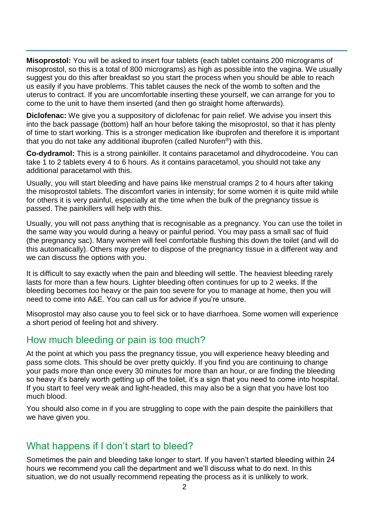**Misoprostol:** You will be asked to insert four tablets (each tablet contains 200 micrograms of misoprostol, so this is a total of 800 micrograms) as high as possible into the vagina. We usually suggest you do this after breakfast so you start the process when you should be able to reach us easily if you have problems. This tablet causes the neck of the womb to soften and the uterus to contract. If you are uncomfortable inserting these yourself, we can arrange for you to come to the unit to have them inserted (and then go straight home afterwards).

**Diclofenac:** We give you a suppository of diclofenac for pain relief. We advise you insert this into the back passage (bottom) half an hour before taking the misoprostol, so that it has plenty of time to start working. This is a stronger medication like ibuprofen and therefore it is important that you do not take any additional ibuprofen (called Nurofen®) with this.

**Co-dydramol:** This is a strong painkiller. It contains paracetamol and dihydrocodeine. You can take 1 to 2 tablets every 4 to 6 hours. As it contains paracetamol, you should not take any additional paracetamol with this.

Usually, you will start bleeding and have pains like menstrual cramps 2 to 4 hours after taking the misoprostol tablets. The discomfort varies in intensity; for some women it is quite mild while for others it is very painful, especially at the time when the bulk of the pregnancy tissue is passed. The painkillers will help with this.

Usually, you will not pass anything that is recognisable as a pregnancy. You can use the toilet in the same way you would during a heavy or painful period. You may pass a small sac of fluid (the pregnancy sac). Many women will feel comfortable flushing this down the toilet (and will do this automatically). Others may prefer to dispose of the pregnancy tissue in a different way and we can discuss the options with you.

It is difficult to say exactly when the pain and bleeding will settle. The heaviest bleeding rarely lasts for more than a few hours. Lighter bleeding often continues for up to 2 weeks. If the bleeding becomes too heavy or the pain too severe for you to manage at home, then you will need to come into A&E. You can call us for advice if you're unsure.

Misoprostol may also cause you to feel sick or to have diarrhoea. Some women will experience a short period of feeling hot and shivery.

## How much bleeding or pain is too much?

At the point at which you pass the pregnancy tissue, you will experience heavy bleeding and pass some clots. This should be over pretty quickly. If you find you are continuing to change your pads more than once every 30 minutes for more than an hour, or are finding the bleeding so heavy it's barely worth getting up off the toilet, it's a sign that you need to come into hospital. If you start to feel very weak and light-headed, this may also be a sign that you have lost too much blood.

You should also come in if you are struggling to cope with the pain despite the painkillers that we have given you.

## What happens if I don't start to bleed?

Sometimes the pain and bleeding take longer to start. If you haven't started bleeding within 24 hours we recommend you call the department and we'll discuss what to do next. In this situation, we do not usually recommend repeating the process as it is unlikely to work.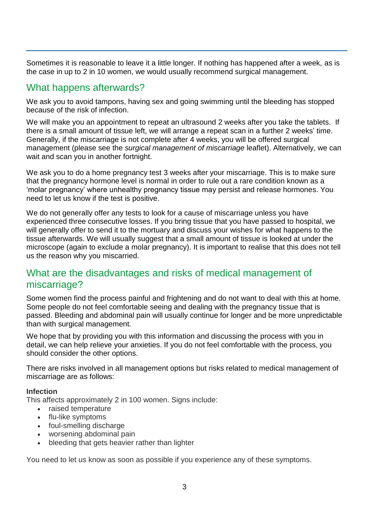Sometimes it is reasonable to leave it a little longer. If nothing has happened after a week, as is the case in up to 2 in 10 women, we would usually recommend surgical management.

# What happens afterwards?

We ask you to avoid tampons, having sex and going swimming until the bleeding has stopped because of the risk of infection.

We will make you an appointment to repeat an ultrasound 2 weeks after you take the tablets. If there is a small amount of tissue left, we will arrange a repeat scan in a further 2 weeks' time. Generally, if the miscarriage is not complete after 4 weeks, you will be offered surgical management (please see the *surgical management of miscarriage* leaflet). Alternatively, we can wait and scan you in another fortnight.

We ask you to do a home pregnancy test 3 weeks after your miscarriage. This is to make sure that the pregnancy hormone level is normal in order to rule out a rare condition known as a 'molar pregnancy' where unhealthy pregnancy tissue may persist and release hormones. You need to let us know if the test is positive.

We do not generally offer any tests to look for a cause of miscarriage unless you have experienced three consecutive losses. If you bring tissue that you have passed to hospital, we will generally offer to send it to the mortuary and discuss your wishes for what happens to the tissue afterwards. We will usually suggest that a small amount of tissue is looked at under the microscope (again to exclude a molar pregnancy). It is important to realise that this does not tell us the reason why you miscarried.

## What are the disadvantages and risks of medical management of miscarriage?

Some women find the process painful and frightening and do not want to deal with this at home. Some people do not feel comfortable seeing and dealing with the pregnancy tissue that is passed. Bleeding and abdominal pain will usually continue for longer and be more unpredictable than with surgical management.

We hope that by providing you with this information and discussing the process with you in detail, we can help relieve your anxieties. If you do not feel comfortable with the process, you should consider the other options.

There are risks involved in all management options but risks related to medical management of miscarriage are as follows:

#### **Infection**

This affects approximately 2 in 100 women. Signs include:

- raised temperature
- flu-like symptoms
- foul-smelling discharge
- worsening abdominal pain
- bleeding that gets heavier rather than lighter

You need to let us know as soon as possible if you experience any of these symptoms.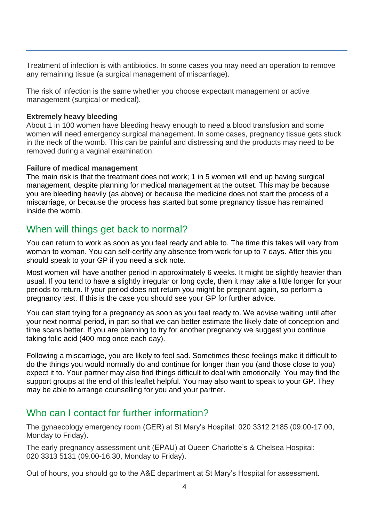Treatment of infection is with antibiotics. In some cases you may need an operation to remove any remaining tissue (a surgical management of miscarriage).

The risk of infection is the same whether you choose expectant management or active management (surgical or medical).

#### **Extremely heavy bleeding**

About 1 in 100 women have bleeding heavy enough to need a blood transfusion and some women will need emergency surgical management. In some cases, pregnancy tissue gets stuck in the neck of the womb. This can be painful and distressing and the products may need to be removed during a vaginal examination.

#### **Failure of medical management**

The main risk is that the treatment does not work; 1 in 5 women will end up having surgical management, despite planning for medical management at the outset. This may be because you are bleeding heavily (as above) or because the medicine does not start the process of a miscarriage, or because the process has started but some pregnancy tissue has remained inside the womb.

### When will things get back to normal?

You can return to work as soon as you feel ready and able to. The time this takes will vary from woman to woman. You can self-certify any absence from work for up to 7 days. After this you should speak to your GP if you need a sick note.

Most women will have another period in approximately 6 weeks. It might be slightly heavier than usual. If you tend to have a slightly irregular or long cycle, then it may take a little longer for your periods to return. If your period does not return you might be pregnant again, so perform a pregnancy test. If this is the case you should see your GP for further advice.

You can start trying for a pregnancy as soon as you feel ready to. We advise waiting until after your next normal period, in part so that we can better estimate the likely date of conception and time scans better. If you are planning to try for another pregnancy we suggest you continue taking folic acid (400 mcg once each day).

Following a miscarriage, you are likely to feel sad. Sometimes these feelings make it difficult to do the things you would normally do and continue for longer than you (and those close to you) expect it to. Your partner may also find things difficult to deal with emotionally. You may find the support groups at the end of this leaflet helpful. You may also want to speak to your GP. They may be able to arrange counselling for you and your partner.

## Who can I contact for further information?

The gynaecology emergency room (GER) at St Mary's Hospital: 020 3312 2185 (09.00-17.00, Monday to Friday).

The early pregnancy assessment unit (EPAU) at Queen Charlotte's & Chelsea Hospital: 020 3313 5131 (09.00-16.30, Monday to Friday).

Out of hours, you should go to the A&E department at St Mary's Hospital for assessment.